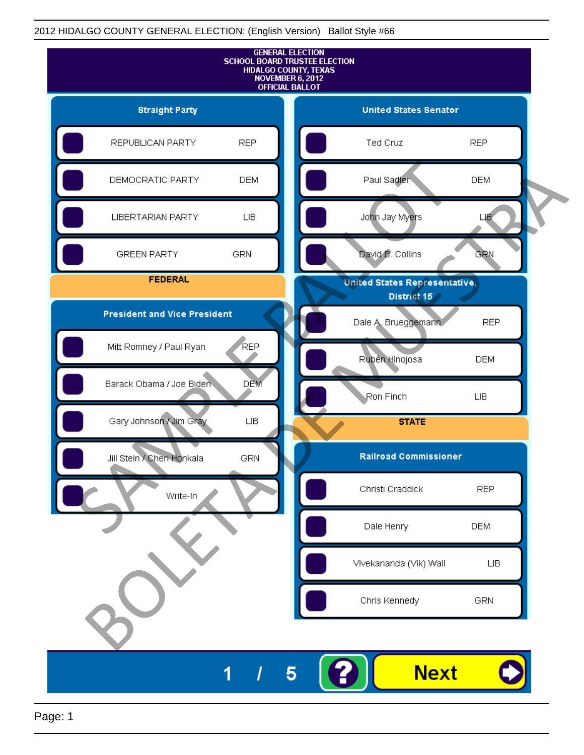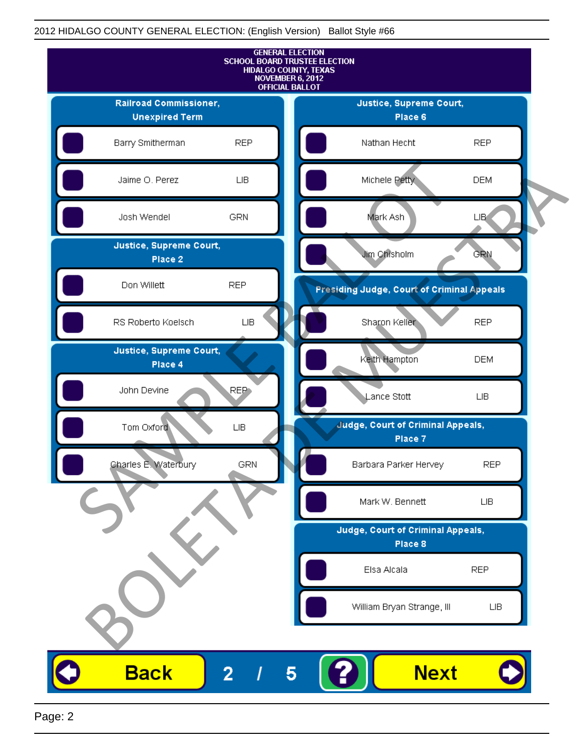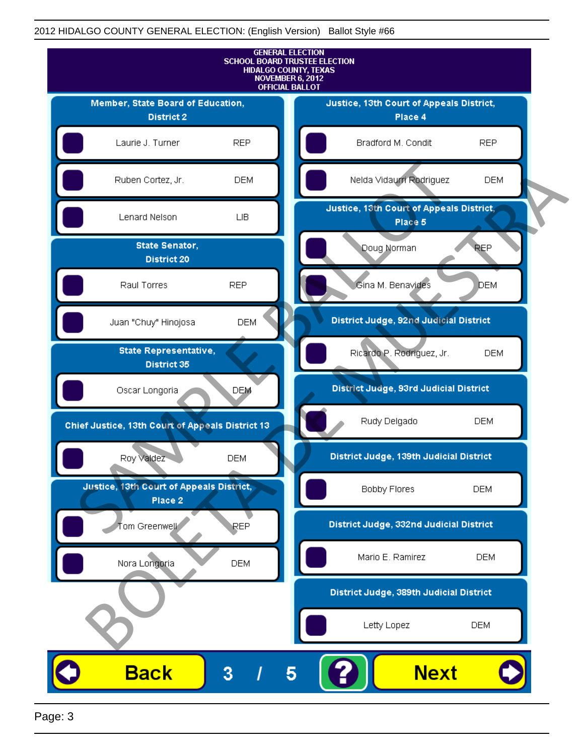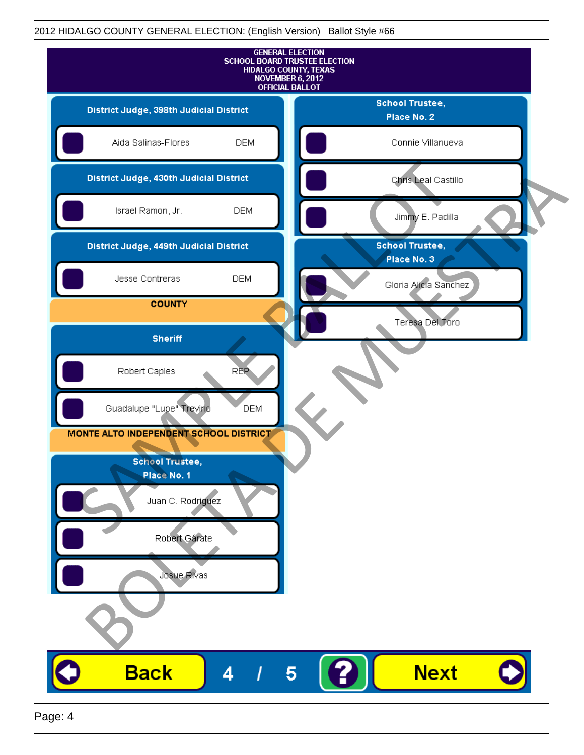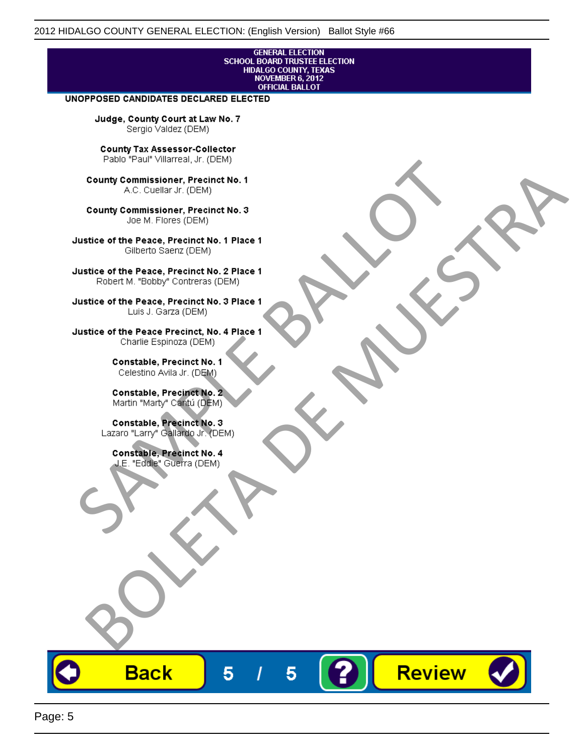## **GENERAL ELECTION** SCHOOL BOARD TRUSTEE ELECTION<br>HIDALGO COUNTY, TEXAS<br>NOVEMBER 6, 2012 **OFFICIAL BALLOT**

Review

#### UNOPPOSED CANDIDATES DECLARED ELECTED

Judge, County Court at Law No. 7 Sergio Valdez (DEM)

County Tax Assessor-Collector

Fall Paul Visitera, Precinct No. 1<br>
County Commissioner, Precinct No. 1<br>
SAC. Cutellar JF: (DEM)<br>
County Commissioner, Precinct No. 2<br>
Ulattice of the Peace, Precinct No. 2 Place 1<br>
Counter M. "Bobby" Contrers (DEM)<br>
Ulatt County Commissioner, Precinct No. 1<br>
Accounts: A County Commissioner, Precinct No. 3<br>
Use of the Peace, Precinct No. 1<br>
Siste of the Peace, Precinct No. 1<br>
There is a control of the County Commission (DEM)<br>
There is a cont

**Back** 

5

5



Page: 5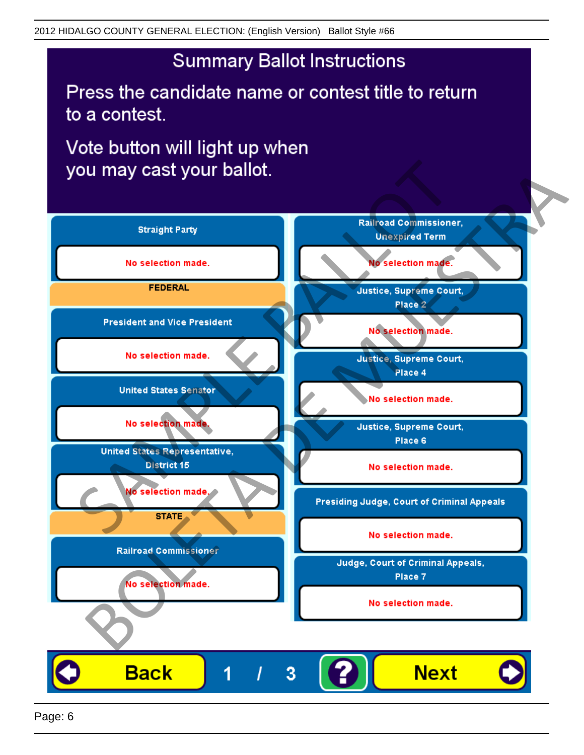# **Summary Ballot Instructions**

Press the candidate name or contest title to return to a contest.

Vote button will light up when

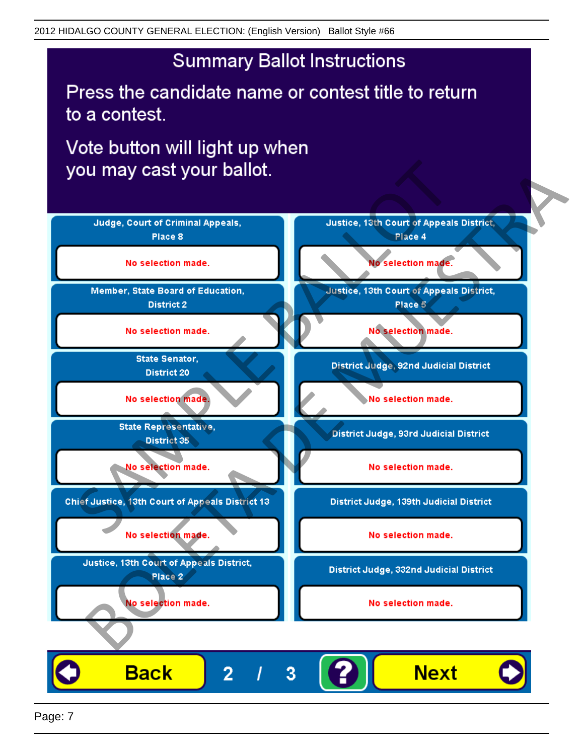## **Summary Ballot Instructions**

Press the candidate name or contest title to return to a contest.

Vote button will light up when



Page: 7